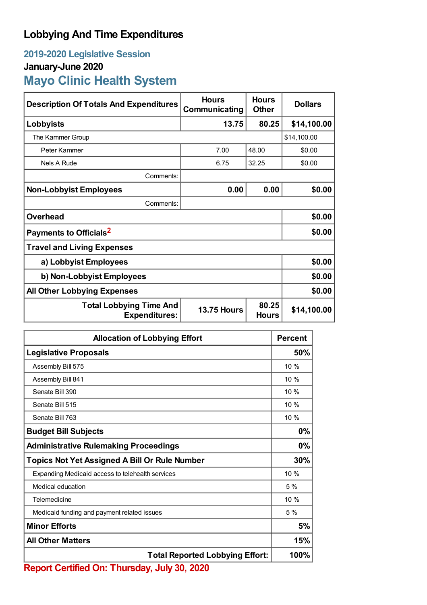## **Lobbying And Time Expenditures**

## **2019-2020 Legislative Session January-June 2020 Mayo Clinic Health System**

| <b>Description Of Totals And Expenditures</b>                                                         | <b>Hours</b><br>Communicating | <b>Hours</b><br><b>Other</b> | <b>Dollars</b> |  |
|-------------------------------------------------------------------------------------------------------|-------------------------------|------------------------------|----------------|--|
| Lobbyists                                                                                             | 13.75                         | 80.25                        | \$14,100.00    |  |
| The Kammer Group                                                                                      |                               |                              | \$14,100.00    |  |
| Peter Kammer                                                                                          | 7.00                          | 48.00                        | \$0.00         |  |
| Nels A Rude                                                                                           | 6.75                          | 32.25                        | \$0.00         |  |
| Comments:                                                                                             |                               |                              |                |  |
| <b>Non-Lobbyist Employees</b>                                                                         | 0.00                          | 0.00                         | \$0.00         |  |
| Comments:                                                                                             |                               |                              |                |  |
| <b>Overhead</b>                                                                                       |                               |                              | \$0.00         |  |
| Payments to Officials <sup>2</sup>                                                                    | \$0.00                        |                              |                |  |
| <b>Travel and Living Expenses</b>                                                                     |                               |                              |                |  |
| a) Lobbyist Employees                                                                                 | \$0.00                        |                              |                |  |
| b) Non-Lobbyist Employees                                                                             |                               |                              | \$0.00         |  |
| <b>All Other Lobbying Expenses</b>                                                                    |                               |                              | \$0.00         |  |
| 80.25<br><b>Total Lobbying Time And</b><br><b>13.75 Hours</b><br><b>Expenditures:</b><br><b>Hours</b> |                               |                              | \$14,100.00    |  |

| <b>Allocation of Lobbying Effort</b>                 |      |
|------------------------------------------------------|------|
| <b>Legislative Proposals</b>                         | 50%  |
| Assembly Bill 575                                    | 10%  |
| Assembly Bill 841                                    | 10%  |
| Senate Bill 390                                      | 10%  |
| Senate Bill 515                                      | 10 % |
| Senate Bill 763                                      | 10 % |
| <b>Budget Bill Subjects</b>                          | 0%   |
| <b>Administrative Rulemaking Proceedings</b>         | 0%   |
| <b>Topics Not Yet Assigned A Bill Or Rule Number</b> |      |
| Expanding Medicaid access to telehealth services     | 10%  |
| Medical education                                    | 5%   |
| Telemedicine                                         | 10 % |
| Medicaid funding and payment related issues          | 5%   |
| <b>Minor Efforts</b>                                 | 5%   |
| <b>All Other Matters</b>                             | 15%  |
| <b>Total Reported Lobbying Effort:</b>               |      |

**Report Certified On: Thursday, July 30, 2020**